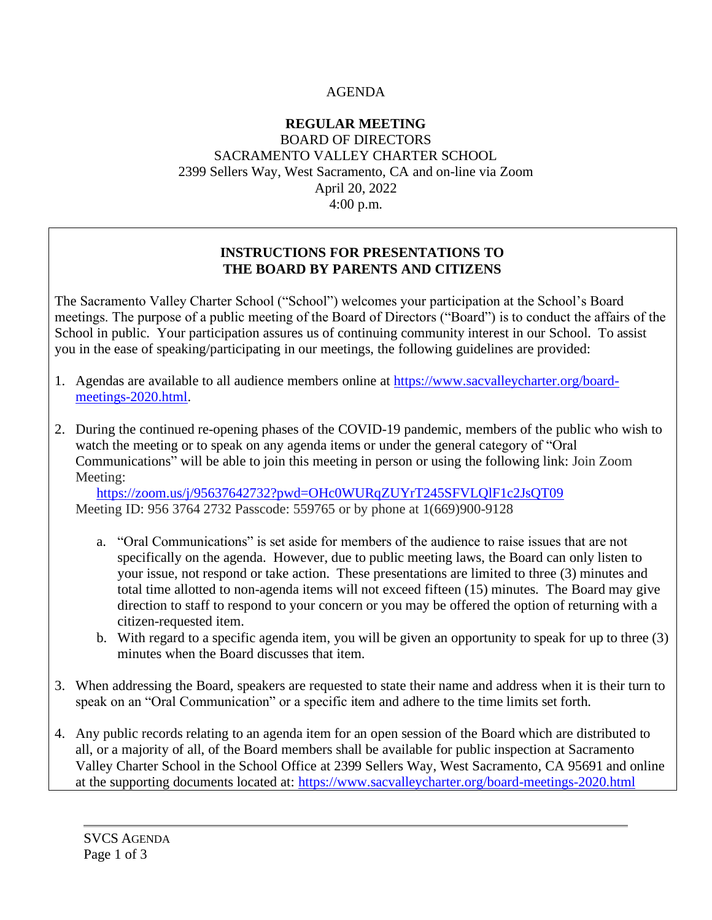## AGENDA

### **REGULAR MEETING** BOARD OF DIRECTORS SACRAMENTO VALLEY CHARTER SCHOOL 2399 Sellers Way, West Sacramento, CA and on-line via Zoom April 20, 2022 4:00 p.m.

### **INSTRUCTIONS FOR PRESENTATIONS TO THE BOARD BY PARENTS AND CITIZENS**

The Sacramento Valley Charter School ("School") welcomes your participation at the School's Board meetings. The purpose of a public meeting of the Board of Directors ("Board") is to conduct the affairs of the School in public. Your participation assures us of continuing community interest in our School. To assist you in the ease of speaking/participating in our meetings, the following guidelines are provided:

- 1. Agendas are available to all audience members online at [https://www.sacvalleycharter.org/board](about:blank)[meetings-2020.html.](about:blank)
- 2. During the continued re-opening phases of the COVID-19 pandemic, members of the public who wish to watch the meeting or to speak on any agenda items or under the general category of "Oral Communications" will be able to join this meeting in person or using the following link: Join Zoom Meeting:

<https://zoom.us/j/95637642732?pwd=OHc0WURqZUYrT245SFVLQlF1c2JsQT09> Meeting ID: 956 3764 2732 Passcode: 559765 or by phone at 1(669)900-9128

- a. "Oral Communications" is set aside for members of the audience to raise issues that are not specifically on the agenda. However, due to public meeting laws, the Board can only listen to your issue, not respond or take action. These presentations are limited to three (3) minutes and total time allotted to non-agenda items will not exceed fifteen (15) minutes. The Board may give direction to staff to respond to your concern or you may be offered the option of returning with a citizen-requested item.
- b. With regard to a specific agenda item, you will be given an opportunity to speak for up to three (3) minutes when the Board discusses that item.
- 3. When addressing the Board, speakers are requested to state their name and address when it is their turn to speak on an "Oral Communication" or a specific item and adhere to the time limits set forth.
- 4. Any public records relating to an agenda item for an open session of the Board which are distributed to all, or a majority of all, of the Board members shall be available for public inspection at Sacramento Valley Charter School in the School Office at 2399 Sellers Way, West Sacramento, CA 95691 and online at the supporting documents located at: [https://www.sacvalleycharter.org/board-meetings-2020.html](about:blank)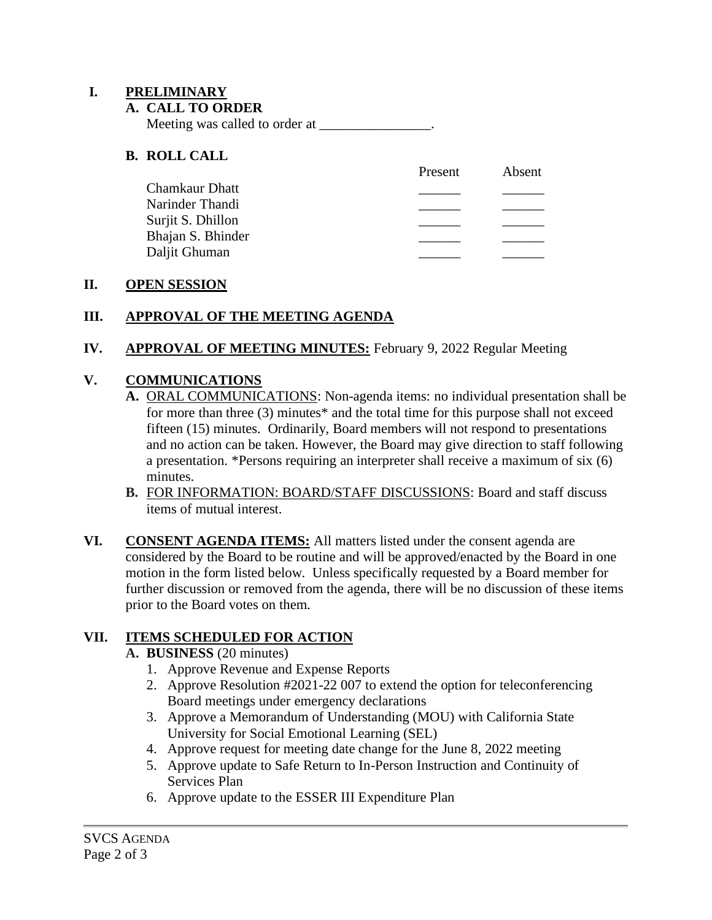### **I. PRELIMINARY**

### **A. CALL TO ORDER**

Meeting was called to order at \_\_\_\_\_\_\_\_\_\_\_\_\_\_\_\_.

### **B. ROLL CALL**

|                   | Present | Absent |
|-------------------|---------|--------|
| Chamkaur Dhatt    |         |        |
| Narinder Thandi   |         |        |
| Surjit S. Dhillon |         |        |
| Bhajan S. Bhinder |         |        |
| Daljit Ghuman     |         |        |

### **II. OPEN SESSION**

## **III. APPROVAL OF THE MEETING AGENDA**

### **IV. APPROVAL OF MEETING MINUTES:** February 9, 2022 Regular Meeting

### **V. COMMUNICATIONS**

- **A.** ORAL COMMUNICATIONS: Non-agenda items: no individual presentation shall be for more than three (3) minutes\* and the total time for this purpose shall not exceed fifteen (15) minutes. Ordinarily, Board members will not respond to presentations and no action can be taken. However, the Board may give direction to staff following a presentation. \*Persons requiring an interpreter shall receive a maximum of six (6) minutes.
- **B.** FOR INFORMATION: BOARD/STAFF DISCUSSIONS: Board and staff discuss items of mutual interest.
- **VI. CONSENT AGENDA ITEMS:** All matters listed under the consent agenda are considered by the Board to be routine and will be approved/enacted by the Board in one motion in the form listed below. Unless specifically requested by a Board member for further discussion or removed from the agenda, there will be no discussion of these items prior to the Board votes on them.

## **VII. ITEMS SCHEDULED FOR ACTION**

### **A. BUSINESS** (20 minutes)

- 1. Approve Revenue and Expense Reports
- 2. Approve Resolution #2021-22 007 to extend the option for teleconferencing Board meetings under emergency declarations
- 3. Approve a Memorandum of Understanding (MOU) with California State University for Social Emotional Learning (SEL)
- 4. Approve request for meeting date change for the June 8, 2022 meeting
- 5. Approve update to Safe Return to In-Person Instruction and Continuity of Services Plan
- 6. Approve update to the ESSER III Expenditure Plan